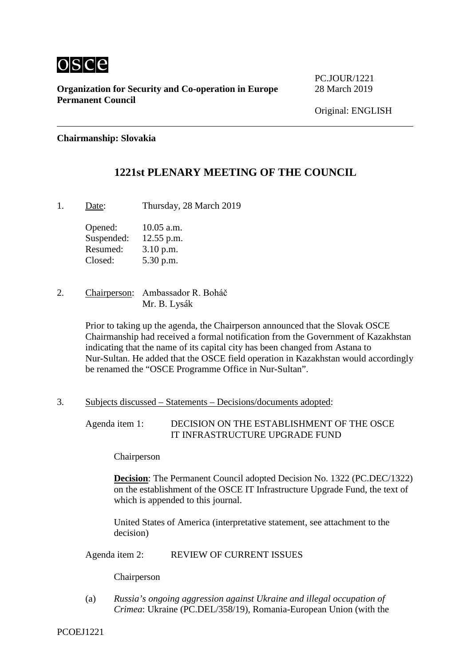

**Organization for Security and Co-operation in Europe** 28 March 2019 **Permanent Council**

PC.JOUR/1221

#### **Chairmanship: Slovakia**

### **1221st PLENARY MEETING OF THE COUNCIL**

1. Date: Thursday, 28 March 2019

Opened: 10.05 a.m. Suspended: 12.55 p.m. Resumed: 3.10 p.m. Closed: 5.30 p.m.

2. Chairperson: Ambassador R. Boháč Mr. B. Lysák

> Prior to taking up the agenda, the Chairperson announced that the Slovak OSCE Chairmanship had received a formal notification from the Government of Kazakhstan indicating that the name of its capital city has been changed from Astana to Nur-Sultan. He added that the OSCE field operation in Kazakhstan would accordingly be renamed the "OSCE Programme Office in Nur-Sultan".

3. Subjects discussed – Statements – Decisions/documents adopted:

Agenda item 1: DECISION ON THE ESTABLISHMENT OF THE OSCE IT INFRASTRUCTURE UPGRADE FUND

Chairperson

**Decision**: The Permanent Council adopted Decision No. 1322 (PC.DEC/1322) on the establishment of the OSCE IT Infrastructure Upgrade Fund, the text of which is appended to this journal.

United States of America (interpretative statement, see attachment to the decision)

Agenda item 2: REVIEW OF CURRENT ISSUES

Chairperson

(a) *Russia's ongoing aggression against Ukraine and illegal occupation of Crimea*: Ukraine (PC.DEL/358/19), Romania-European Union (with the

PCOEJ1221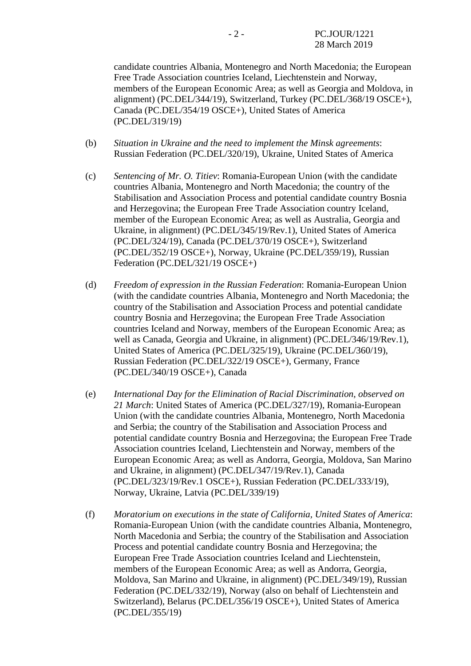candidate countries Albania, Montenegro and North Macedonia; the European Free Trade Association countries Iceland, Liechtenstein and Norway, members of the European Economic Area; as well as Georgia and Moldova, in alignment) (PC.DEL/344/19), Switzerland, Turkey (PC.DEL/368/19 OSCE+), Canada (PC.DEL/354/19 OSCE+), United States of America (PC.DEL/319/19)

- (b) *Situation in Ukraine and the need to implement the Minsk agreements*: Russian Federation (PC.DEL/320/19), Ukraine, United States of America
- (c) *Sentencing of Mr. O. Titiev*: Romania-European Union (with the candidate countries Albania, Montenegro and North Macedonia; the country of the Stabilisation and Association Process and potential candidate country Bosnia and Herzegovina; the European Free Trade Association country Iceland, member of the European Economic Area; as well as Australia, Georgia and Ukraine, in alignment) (PC.DEL/345/19/Rev.1), United States of America (PC.DEL/324/19), Canada (PC.DEL/370/19 OSCE+), Switzerland (PC.DEL/352/19 OSCE+), Norway, Ukraine (PC.DEL/359/19), Russian Federation (PC.DEL/321/19 OSCE+)
- (d) *Freedom of expression in the Russian Federation*: Romania-European Union (with the candidate countries Albania, Montenegro and North Macedonia; the country of the Stabilisation and Association Process and potential candidate country Bosnia and Herzegovina; the European Free Trade Association countries Iceland and Norway, members of the European Economic Area; as well as Canada, Georgia and Ukraine, in alignment) (PC.DEL/346/19/Rev.1), United States of America (PC.DEL/325/19), Ukraine (PC.DEL/360/19), Russian Federation (PC.DEL/322/19 OSCE+), Germany, France (PC.DEL/340/19 OSCE+), Canada
- (e) *International Day for the Elimination of Racial Discrimination, observed on 21 March*: United States of America (PC.DEL/327/19), Romania-European Union (with the candidate countries Albania, Montenegro, North Macedonia and Serbia; the country of the Stabilisation and Association Process and potential candidate country Bosnia and Herzegovina; the European Free Trade Association countries Iceland, Liechtenstein and Norway, members of the European Economic Area; as well as Andorra, Georgia, Moldova, San Marino and Ukraine, in alignment) (PC.DEL/347/19/Rev.1), Canada (PC.DEL/323/19/Rev.1 OSCE+), Russian Federation (PC.DEL/333/19), Norway, Ukraine, Latvia (PC.DEL/339/19)
- (f) *Moratorium on executions in the state of California, United States of America*: Romania-European Union (with the candidate countries Albania, Montenegro, North Macedonia and Serbia; the country of the Stabilisation and Association Process and potential candidate country Bosnia and Herzegovina; the European Free Trade Association countries Iceland and Liechtenstein, members of the European Economic Area; as well as Andorra, Georgia, Moldova, San Marino and Ukraine, in alignment) (PC.DEL/349/19), Russian Federation (PC.DEL/332/19), Norway (also on behalf of Liechtenstein and Switzerland), Belarus (PC.DEL/356/19 OSCE+), United States of America (PC.DEL/355/19)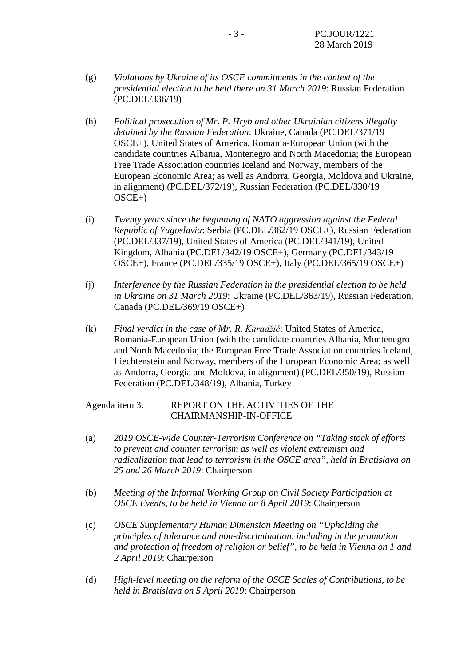- (g) *Violations by Ukraine of its OSCE commitments in the context of the presidential election to be held there on 31 March 2019*: Russian Federation (PC.DEL/336/19)
- (h) *Political prosecution of Mr. P. Hryb and other Ukrainian citizens illegally detained by the Russian Federation*: Ukraine, Canada (PC.DEL/371/19 OSCE+), United States of America, Romania-European Union (with the candidate countries Albania, Montenegro and North Macedonia; the European Free Trade Association countries Iceland and Norway, members of the European Economic Area; as well as Andorra, Georgia, Moldova and Ukraine, in alignment) (PC.DEL/372/19), Russian Federation (PC.DEL/330/19 OSCE+)
- (i) *Twenty years since the beginning of NATO aggression against the Federal Republic of Yugoslavia*: Serbia (PC.DEL/362/19 OSCE+), Russian Federation (PC.DEL/337/19), United States of America (PC.DEL/341/19), United Kingdom, Albania (PC.DEL/342/19 OSCE+), Germany (PC.DEL/343/19 OSCE+), France (PC.DEL/335/19 OSCE+), Italy (PC.DEL/365/19 OSCE+)
- (j) *Interference by the Russian Federation in the presidential election to be held in Ukraine on 31 March 2019*: Ukraine (PC.DEL/363/19), Russian Federation, Canada (PC.DEL/369/19 OSCE+)
- (k) *Final verdict in the case of Mr. R. Karadžić*: United States of America, Romania-European Union (with the candidate countries Albania, Montenegro and North Macedonia; the European Free Trade Association countries Iceland, Liechtenstein and Norway, members of the European Economic Area; as well as Andorra, Georgia and Moldova, in alignment) (PC.DEL/350/19), Russian Federation (PC.DEL/348/19), Albania, Turkey

Agenda item 3: REPORT ON THE ACTIVITIES OF THE CHAIRMANSHIP-IN-OFFICE

- (a) *2019 OSCE-wide Counter-Terrorism Conference on "Taking stock of efforts to prevent and counter terrorism as well as violent extremism and radicalization that lead to terrorism in the OSCE area", held in Bratislava on 25 and 26 March 2019*: Chairperson
- (b) *Meeting of the Informal Working Group on Civil Society Participation at OSCE Events, to be held in Vienna on 8 April 2019*: Chairperson
- (c) *OSCE Supplementary Human Dimension Meeting on "Upholding the principles of tolerance and non-discrimination, including in the promotion and protection of freedom of religion or belief", to be held in Vienna on 1 and 2 April 2019*: Chairperson
- (d) *High-level meeting on the reform of the OSCE Scales of Contributions, to be held in Bratislava on 5 April 2019*: Chairperson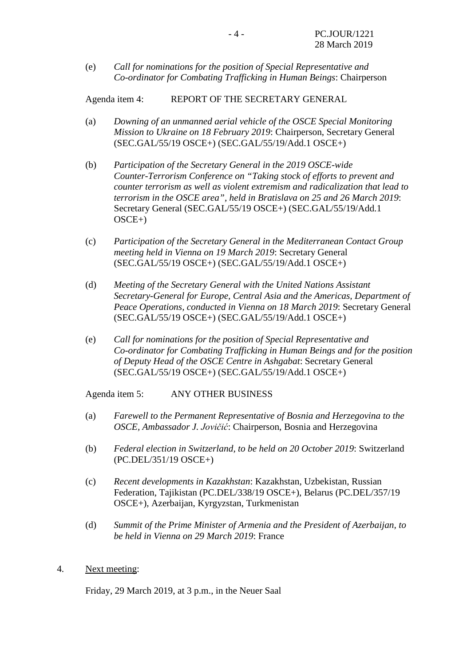(e) *Call for nominations for the position of Special Representative and Co-ordinator for Combating Trafficking in Human Beings*: Chairperson

Agenda item 4: REPORT OF THE SECRETARY GENERAL

- (a) *Downing of an unmanned aerial vehicle of the OSCE Special Monitoring Mission to Ukraine on 18 February 2019*: Chairperson, Secretary General (SEC.GAL/55/19 OSCE+) (SEC.GAL/55/19/Add.1 OSCE+)
- (b) *Participation of the Secretary General in the 2019 OSCE-wide Counter-Terrorism Conference on "Taking stock of efforts to prevent and counter terrorism as well as violent extremism and radicalization that lead to terrorism in the OSCE area", held in Bratislava on 25 and 26 March 2019*: Secretary General (SEC.GAL/55/19 OSCE+) (SEC.GAL/55/19/Add.1  $OSCE+$ )
- (c) *Participation of the Secretary General in the Mediterranean Contact Group meeting held in Vienna on 19 March 2019*: Secretary General (SEC.GAL/55/19 OSCE+) (SEC.GAL/55/19/Add.1 OSCE+)
- (d) *Meeting of the Secretary General with the United Nations Assistant Secretary-General for Europe, Central Asia and the Americas, Department of Peace Operations, conducted in Vienna on 18 March 2019*: Secretary General (SEC.GAL/55/19 OSCE+) (SEC.GAL/55/19/Add.1 OSCE+)
- (e) *Call for nominations for the position of Special Representative and Co-ordinator for Combating Trafficking in Human Beings and for the position of Deputy Head of the OSCE Centre in Ashgabat*: Secretary General (SEC.GAL/55/19 OSCE+) (SEC.GAL/55/19/Add.1 OSCE+)

Agenda item 5: ANY OTHER BUSINESS

- (a) *Farewell to the Permanent Representative of Bosnia and Herzegovina to the OSCE, Ambassador J. Jovičić*: Chairperson, Bosnia and Herzegovina
- (b) *Federal election in Switzerland, to be held on 20 October 2019*: Switzerland (PC.DEL/351/19 OSCE+)
- (c) *Recent developments in Kazakhstan*: Kazakhstan, Uzbekistan, Russian Federation, Tajikistan (PC.DEL/338/19 OSCE+), Belarus (PC.DEL/357/19 OSCE+), Azerbaijan, Kyrgyzstan, Turkmenistan
- (d) *Summit of the Prime Minister of Armenia and the President of Azerbaijan, to be held in Vienna on 29 March 2019*: France
- 4. Next meeting:

Friday, 29 March 2019, at 3 p.m., in the Neuer Saal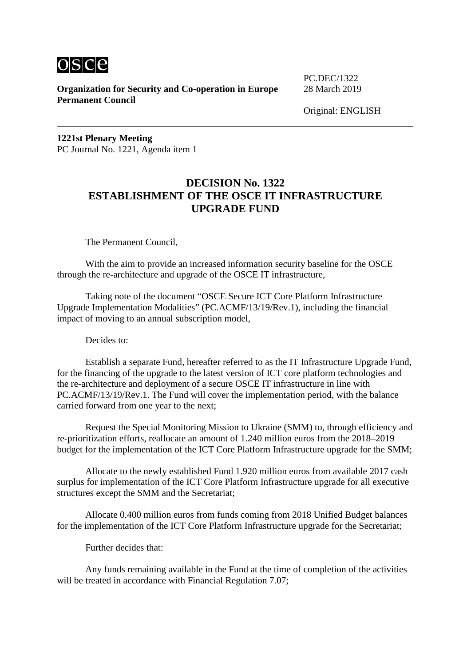

**Organization for Security and Co-operation in Europe** 28 March 2019 **Permanent Council**

PC.DEC/1322

Original: ENGLISH

**1221st Plenary Meeting** PC Journal No. 1221, Agenda item 1

## **DECISION No. 1322 ESTABLISHMENT OF THE OSCE IT INFRASTRUCTURE UPGRADE FUND**

The Permanent Council,

With the aim to provide an increased information security baseline for the OSCE through the re-architecture and upgrade of the OSCE IT infrastructure,

Taking note of the document "OSCE Secure ICT Core Platform Infrastructure Upgrade Implementation Modalities" (PC.ACMF/13/19/Rev.1), including the financial impact of moving to an annual subscription model,

Decides to:

Establish a separate Fund, hereafter referred to as the IT Infrastructure Upgrade Fund, for the financing of the upgrade to the latest version of ICT core platform technologies and the re-architecture and deployment of a secure OSCE IT infrastructure in line with PC.ACMF/13/19/Rev.1. The Fund will cover the implementation period, with the balance carried forward from one year to the next;

Request the Special Monitoring Mission to Ukraine (SMM) to, through efficiency and re-prioritization efforts, reallocate an amount of 1.240 million euros from the 2018–2019 budget for the implementation of the ICT Core Platform Infrastructure upgrade for the SMM;

Allocate to the newly established Fund 1.920 million euros from available 2017 cash surplus for implementation of the ICT Core Platform Infrastructure upgrade for all executive structures except the SMM and the Secretariat;

Allocate 0.400 million euros from funds coming from 2018 Unified Budget balances for the implementation of the ICT Core Platform Infrastructure upgrade for the Secretariat;

Further decides that:

Any funds remaining available in the Fund at the time of completion of the activities will be treated in accordance with Financial Regulation 7.07;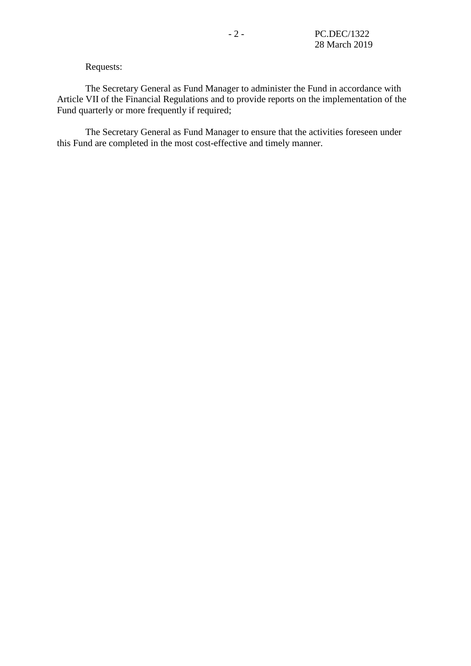#### Requests:

The Secretary General as Fund Manager to administer the Fund in accordance with Article VII of the Financial Regulations and to provide reports on the implementation of the Fund quarterly or more frequently if required;

The Secretary General as Fund Manager to ensure that the activities foreseen under this Fund are completed in the most cost-effective and timely manner.